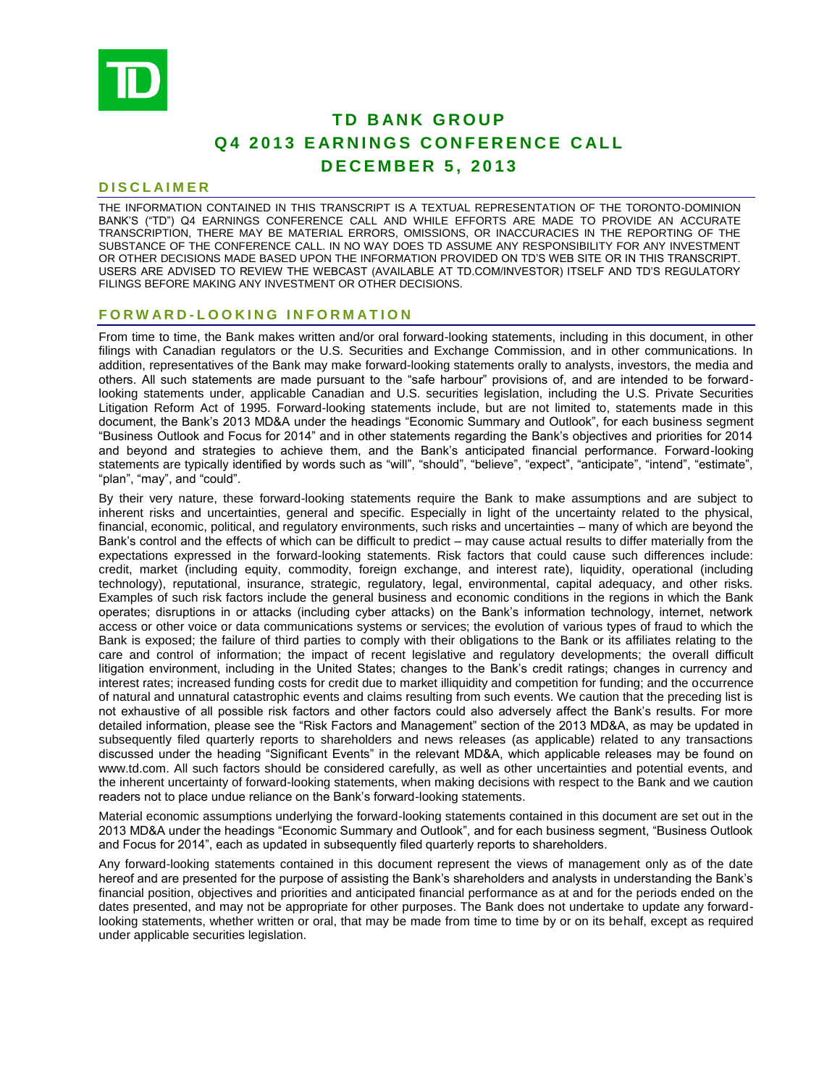

# **TD BANK GROUP Q 4 2 0 1 3 E AR N I N G S C O N F E R E N C E C AL L D E C E M B E R 5 , 2 0 1 3**

# **D I S C L A I M E R**

THE INFORMATION CONTAINED IN THIS TRANSCRIPT IS A TEXTUAL REPRESENTATION OF THE TORONTO-DOMINION BANK'S ("TD") Q4 EARNINGS CONFERENCE CALL AND WHILE EFFORTS ARE MADE TO PROVIDE AN ACCURATE TRANSCRIPTION, THERE MAY BE MATERIAL ERRORS, OMISSIONS, OR INACCURACIES IN THE REPORTING OF THE SUBSTANCE OF THE CONFERENCE CALL. IN NO WAY DOES TD ASSUME ANY RESPONSIBILITY FOR ANY INVESTMENT OR OTHER DECISIONS MADE BASED UPON THE INFORMATION PROVIDED ON TD'S WEB SITE OR IN THIS TRANSCRIPT. USERS ARE ADVISED TO REVIEW THE WEBCAST (AVAILABLE AT TD.COM/INVESTOR) ITSELF AND TD'S REGULATORY FILINGS BEFORE MAKING ANY INVESTMENT OR OTHER DECISIONS.

### **F O R W A R D - L O O K I N G I N F O R M A T I O N**

From time to time, the Bank makes written and/or oral forward-looking statements, including in this document, in other filings with Canadian regulators or the U.S. Securities and Exchange Commission, and in other communications. In addition, representatives of the Bank may make forward-looking statements orally to analysts, investors, the media and others. All such statements are made pursuant to the "safe harbour" provisions of, and are intended to be forwardlooking statements under, applicable Canadian and U.S. securities legislation, including the U.S. Private Securities Litigation Reform Act of 1995. Forward-looking statements include, but are not limited to, statements made in this document, the Bank's 2013 MD&A under the headings "Economic Summary and Outlook", for each business segment "Business Outlook and Focus for 2014" and in other statements regarding the Bank's objectives and priorities for 2014 and beyond and strategies to achieve them, and the Bank's anticipated financial performance. Forward-looking statements are typically identified by words such as "will", "should", "believe", "expect", "anticipate", "intend", "estimate", "plan", "may", and "could".

By their very nature, these forward-looking statements require the Bank to make assumptions and are subject to inherent risks and uncertainties, general and specific. Especially in light of the uncertainty related to the physical, financial, economic, political, and regulatory environments, such risks and uncertainties – many of which are beyond the Bank's control and the effects of which can be difficult to predict – may cause actual results to differ materially from the expectations expressed in the forward-looking statements. Risk factors that could cause such differences include: credit, market (including equity, commodity, foreign exchange, and interest rate), liquidity, operational (including technology), reputational, insurance, strategic, regulatory, legal, environmental, capital adequacy, and other risks. Examples of such risk factors include the general business and economic conditions in the regions in which the Bank operates; disruptions in or attacks (including cyber attacks) on the Bank's information technology, internet, network access or other voice or data communications systems or services; the evolution of various types of fraud to which the Bank is exposed; the failure of third parties to comply with their obligations to the Bank or its affiliates relating to the care and control of information; the impact of recent legislative and regulatory developments; the overall difficult litigation environment, including in the United States; changes to the Bank's credit ratings; changes in currency and interest rates; increased funding costs for credit due to market illiquidity and competition for funding; and the occurrence of natural and unnatural catastrophic events and claims resulting from such events. We caution that the preceding list is not exhaustive of all possible risk factors and other factors could also adversely affect the Bank's results. For more detailed information, please see the "Risk Factors and Management" section of the 2013 MD&A, as may be updated in subsequently filed quarterly reports to shareholders and news releases (as applicable) related to any transactions discussed under the heading "Significant Events" in the relevant MD&A, which applicable releases may be found on www.td.com. All such factors should be considered carefully, as well as other uncertainties and potential events, and the inherent uncertainty of forward-looking statements, when making decisions with respect to the Bank and we caution readers not to place undue reliance on the Bank's forward-looking statements.

Material economic assumptions underlying the forward-looking statements contained in this document are set out in the 2013 MD&A under the headings "Economic Summary and Outlook", and for each business segment, "Business Outlook and Focus for 2014", each as updated in subsequently filed quarterly reports to shareholders.

Any forward-looking statements contained in this document represent the views of management only as of the date hereof and are presented for the purpose of assisting the Bank's shareholders and analysts in understanding the Bank's financial position, objectives and priorities and anticipated financial performance as at and for the periods ended on the dates presented, and may not be appropriate for other purposes. The Bank does not undertake to update any forwardlooking statements, whether written or oral, that may be made from time to time by or on its behalf, except as required under applicable securities legislation.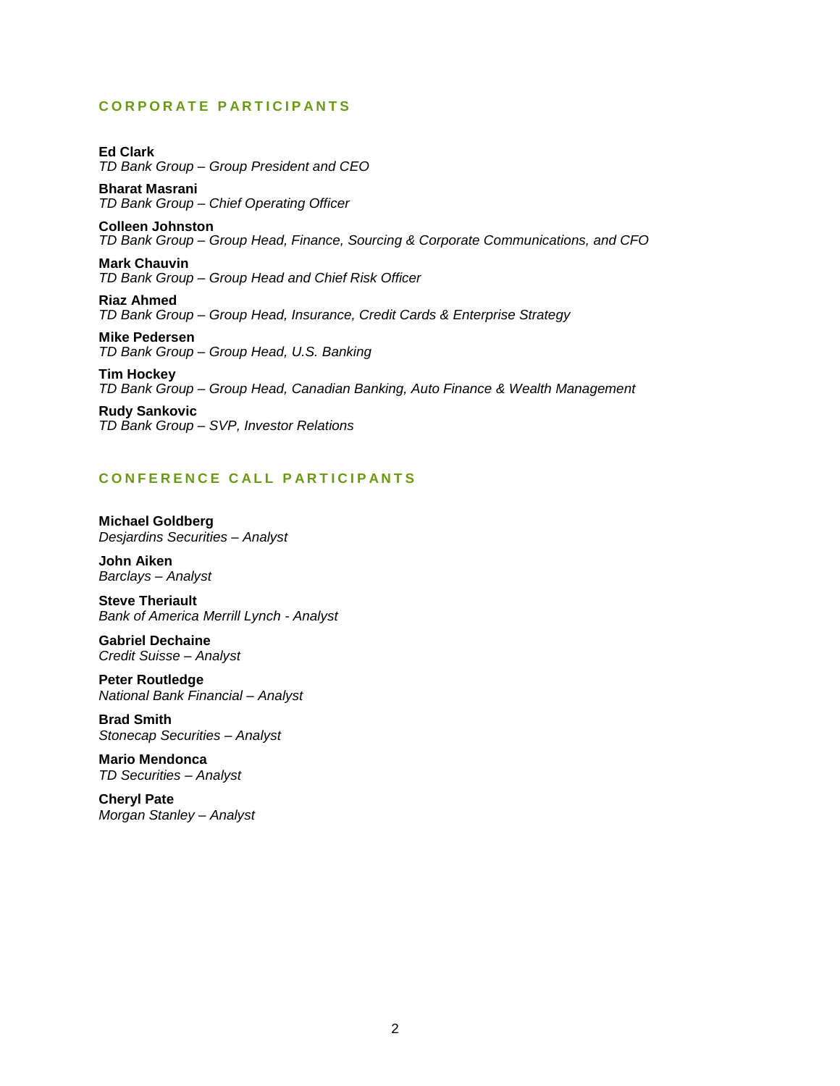# **C O R P O R A T E P A R T I C I P A N T S**

**Ed Clark** *TD Bank Group – Group President and CEO*

**Bharat Masrani** *TD Bank Group – Chief Operating Officer*

**Colleen Johnston** *TD Bank Group – Group Head, Finance, Sourcing & Corporate Communications, and CFO*

**Mark Chauvin** *TD Bank Group – Group Head and Chief Risk Officer*

**Riaz Ahmed** *TD Bank Group – Group Head, Insurance, Credit Cards & Enterprise Strategy*

**Mike Pedersen** *TD Bank Group – Group Head, U.S. Banking*

**Tim Hockey** *TD Bank Group – Group Head, Canadian Banking, Auto Finance & Wealth Management*

**Rudy Sankovic** *TD Bank Group – SVP, Investor Relations*

# **C O N F E R E N C E C A L L P A R T I C I P A N T S**

**Michael Goldberg** *Desjardins Securities – Analyst* 

**John Aiken** *Barclays – Analyst* 

**Steve Theriault** *Bank of America Merrill Lynch - Analyst*

**Gabriel Dechaine** *Credit Suisse – Analyst* 

**Peter Routledge** *National Bank Financial – Analyst* 

**Brad Smith** *Stonecap Securities – Analyst* 

**Mario Mendonca** *TD Securities – Analyst*

**Cheryl Pate** *Morgan Stanley – Analyst*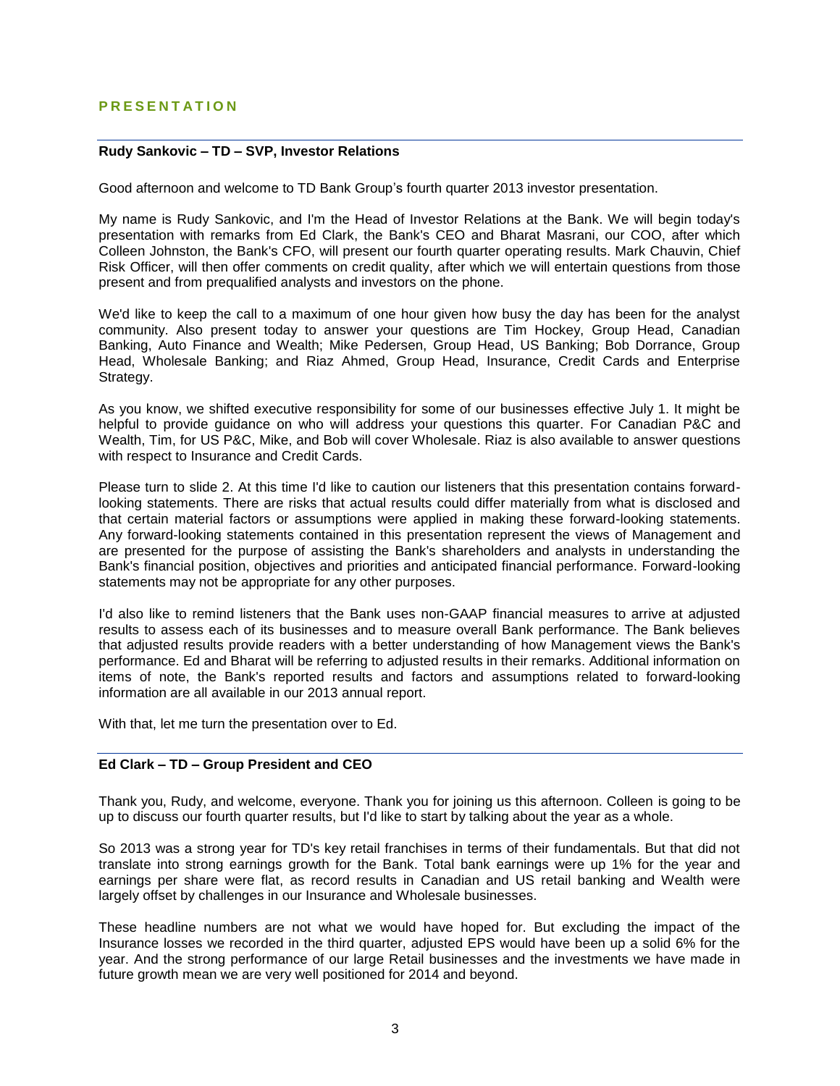# **P R E S E N T A T I O N**

# **Rudy Sankovic – TD – SVP, Investor Relations**

Good afternoon and welcome to TD Bank Group's fourth quarter 2013 investor presentation.

My name is Rudy Sankovic, and I'm the Head of Investor Relations at the Bank. We will begin today's presentation with remarks from Ed Clark, the Bank's CEO and Bharat Masrani, our COO, after which Colleen Johnston, the Bank's CFO, will present our fourth quarter operating results. Mark Chauvin, Chief Risk Officer, will then offer comments on credit quality, after which we will entertain questions from those present and from prequalified analysts and investors on the phone.

We'd like to keep the call to a maximum of one hour given how busy the day has been for the analyst community. Also present today to answer your questions are Tim Hockey, Group Head, Canadian Banking, Auto Finance and Wealth; Mike Pedersen, Group Head, US Banking; Bob Dorrance, Group Head, Wholesale Banking; and Riaz Ahmed, Group Head, Insurance, Credit Cards and Enterprise Strategy.

As you know, we shifted executive responsibility for some of our businesses effective July 1. It might be helpful to provide guidance on who will address your questions this quarter. For Canadian P&C and Wealth, Tim, for US P&C, Mike, and Bob will cover Wholesale. Riaz is also available to answer questions with respect to Insurance and Credit Cards.

Please turn to slide 2. At this time I'd like to caution our listeners that this presentation contains forwardlooking statements. There are risks that actual results could differ materially from what is disclosed and that certain material factors or assumptions were applied in making these forward-looking statements. Any forward-looking statements contained in this presentation represent the views of Management and are presented for the purpose of assisting the Bank's shareholders and analysts in understanding the Bank's financial position, objectives and priorities and anticipated financial performance. Forward-looking statements may not be appropriate for any other purposes.

I'd also like to remind listeners that the Bank uses non-GAAP financial measures to arrive at adjusted results to assess each of its businesses and to measure overall Bank performance. The Bank believes that adjusted results provide readers with a better understanding of how Management views the Bank's performance. Ed and Bharat will be referring to adjusted results in their remarks. Additional information on items of note, the Bank's reported results and factors and assumptions related to forward-looking information are all available in our 2013 annual report.

With that, let me turn the presentation over to Ed.

# **Ed Clark – TD – Group President and CEO**

Thank you, Rudy, and welcome, everyone. Thank you for joining us this afternoon. Colleen is going to be up to discuss our fourth quarter results, but I'd like to start by talking about the year as a whole.

So 2013 was a strong year for TD's key retail franchises in terms of their fundamentals. But that did not translate into strong earnings growth for the Bank. Total bank earnings were up 1% for the year and earnings per share were flat, as record results in Canadian and US retail banking and Wealth were largely offset by challenges in our Insurance and Wholesale businesses.

These headline numbers are not what we would have hoped for. But excluding the impact of the Insurance losses we recorded in the third quarter, adjusted EPS would have been up a solid 6% for the year. And the strong performance of our large Retail businesses and the investments we have made in future growth mean we are very well positioned for 2014 and beyond.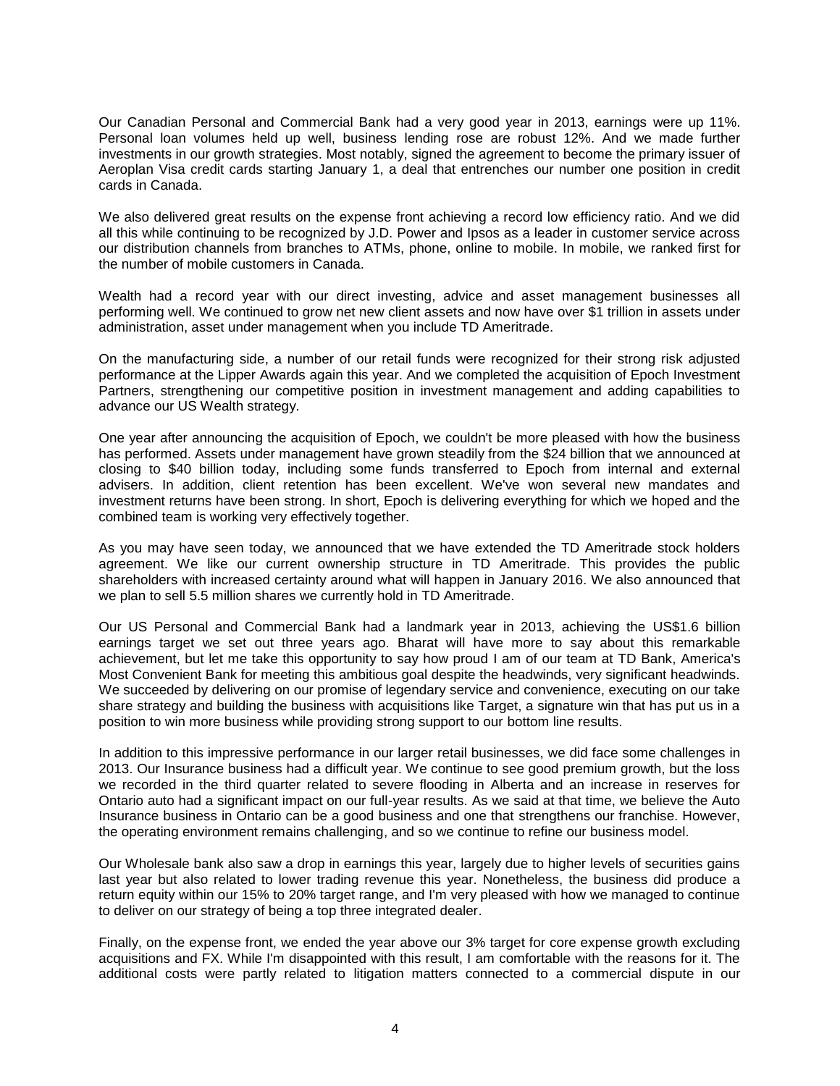Our Canadian Personal and Commercial Bank had a very good year in 2013, earnings were up 11%. Personal loan volumes held up well, business lending rose are robust 12%. And we made further investments in our growth strategies. Most notably, signed the agreement to become the primary issuer of Aeroplan Visa credit cards starting January 1, a deal that entrenches our number one position in credit cards in Canada.

We also delivered great results on the expense front achieving a record low efficiency ratio. And we did all this while continuing to be recognized by J.D. Power and Ipsos as a leader in customer service across our distribution channels from branches to ATMs, phone, online to mobile. In mobile, we ranked first for the number of mobile customers in Canada.

Wealth had a record year with our direct investing, advice and asset management businesses all performing well. We continued to grow net new client assets and now have over \$1 trillion in assets under administration, asset under management when you include TD Ameritrade.

On the manufacturing side, a number of our retail funds were recognized for their strong risk adjusted performance at the Lipper Awards again this year. And we completed the acquisition of Epoch Investment Partners, strengthening our competitive position in investment management and adding capabilities to advance our US Wealth strategy.

One year after announcing the acquisition of Epoch, we couldn't be more pleased with how the business has performed. Assets under management have grown steadily from the \$24 billion that we announced at closing to \$40 billion today, including some funds transferred to Epoch from internal and external advisers. In addition, client retention has been excellent. We've won several new mandates and investment returns have been strong. In short, Epoch is delivering everything for which we hoped and the combined team is working very effectively together.

As you may have seen today, we announced that we have extended the TD Ameritrade stock holders agreement. We like our current ownership structure in TD Ameritrade. This provides the public shareholders with increased certainty around what will happen in January 2016. We also announced that we plan to sell 5.5 million shares we currently hold in TD Ameritrade.

Our US Personal and Commercial Bank had a landmark year in 2013, achieving the US\$1.6 billion earnings target we set out three years ago. Bharat will have more to say about this remarkable achievement, but let me take this opportunity to say how proud I am of our team at TD Bank, America's Most Convenient Bank for meeting this ambitious goal despite the headwinds, very significant headwinds. We succeeded by delivering on our promise of legendary service and convenience, executing on our take share strategy and building the business with acquisitions like Target, a signature win that has put us in a position to win more business while providing strong support to our bottom line results.

In addition to this impressive performance in our larger retail businesses, we did face some challenges in 2013. Our Insurance business had a difficult year. We continue to see good premium growth, but the loss we recorded in the third quarter related to severe flooding in Alberta and an increase in reserves for Ontario auto had a significant impact on our full-year results. As we said at that time, we believe the Auto Insurance business in Ontario can be a good business and one that strengthens our franchise. However, the operating environment remains challenging, and so we continue to refine our business model.

Our Wholesale bank also saw a drop in earnings this year, largely due to higher levels of securities gains last year but also related to lower trading revenue this year. Nonetheless, the business did produce a return equity within our 15% to 20% target range, and I'm very pleased with how we managed to continue to deliver on our strategy of being a top three integrated dealer.

Finally, on the expense front, we ended the year above our 3% target for core expense growth excluding acquisitions and FX. While I'm disappointed with this result, I am comfortable with the reasons for it. The additional costs were partly related to litigation matters connected to a commercial dispute in our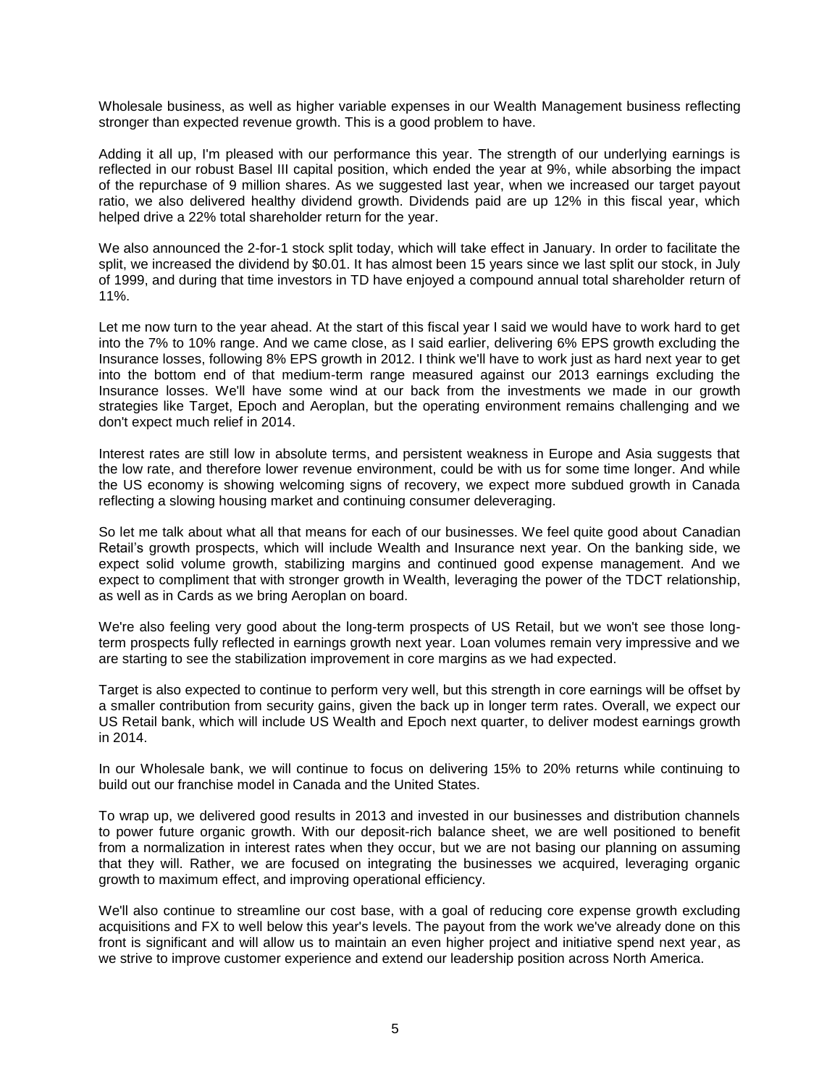Wholesale business, as well as higher variable expenses in our Wealth Management business reflecting stronger than expected revenue growth. This is a good problem to have.

Adding it all up, I'm pleased with our performance this year. The strength of our underlying earnings is reflected in our robust Basel III capital position, which ended the year at 9%, while absorbing the impact of the repurchase of 9 million shares. As we suggested last year, when we increased our target payout ratio, we also delivered healthy dividend growth. Dividends paid are up 12% in this fiscal year, which helped drive a 22% total shareholder return for the year.

We also announced the 2-for-1 stock split today, which will take effect in January. In order to facilitate the split, we increased the dividend by \$0.01. It has almost been 15 years since we last split our stock, in July of 1999, and during that time investors in TD have enjoyed a compound annual total shareholder return of 11%.

Let me now turn to the year ahead. At the start of this fiscal year I said we would have to work hard to get into the 7% to 10% range. And we came close, as I said earlier, delivering 6% EPS growth excluding the Insurance losses, following 8% EPS growth in 2012. I think we'll have to work just as hard next year to get into the bottom end of that medium-term range measured against our 2013 earnings excluding the Insurance losses. We'll have some wind at our back from the investments we made in our growth strategies like Target, Epoch and Aeroplan, but the operating environment remains challenging and we don't expect much relief in 2014.

Interest rates are still low in absolute terms, and persistent weakness in Europe and Asia suggests that the low rate, and therefore lower revenue environment, could be with us for some time longer. And while the US economy is showing welcoming signs of recovery, we expect more subdued growth in Canada reflecting a slowing housing market and continuing consumer deleveraging.

So let me talk about what all that means for each of our businesses. We feel quite good about Canadian Retail's growth prospects, which will include Wealth and Insurance next year. On the banking side, we expect solid volume growth, stabilizing margins and continued good expense management. And we expect to compliment that with stronger growth in Wealth, leveraging the power of the TDCT relationship, as well as in Cards as we bring Aeroplan on board.

We're also feeling very good about the long-term prospects of US Retail, but we won't see those longterm prospects fully reflected in earnings growth next year. Loan volumes remain very impressive and we are starting to see the stabilization improvement in core margins as we had expected.

Target is also expected to continue to perform very well, but this strength in core earnings will be offset by a smaller contribution from security gains, given the back up in longer term rates. Overall, we expect our US Retail bank, which will include US Wealth and Epoch next quarter, to deliver modest earnings growth in 2014.

In our Wholesale bank, we will continue to focus on delivering 15% to 20% returns while continuing to build out our franchise model in Canada and the United States.

To wrap up, we delivered good results in 2013 and invested in our businesses and distribution channels to power future organic growth. With our deposit-rich balance sheet, we are well positioned to benefit from a normalization in interest rates when they occur, but we are not basing our planning on assuming that they will. Rather, we are focused on integrating the businesses we acquired, leveraging organic growth to maximum effect, and improving operational efficiency.

We'll also continue to streamline our cost base, with a goal of reducing core expense growth excluding acquisitions and FX to well below this year's levels. The payout from the work we've already done on this front is significant and will allow us to maintain an even higher project and initiative spend next year, as we strive to improve customer experience and extend our leadership position across North America.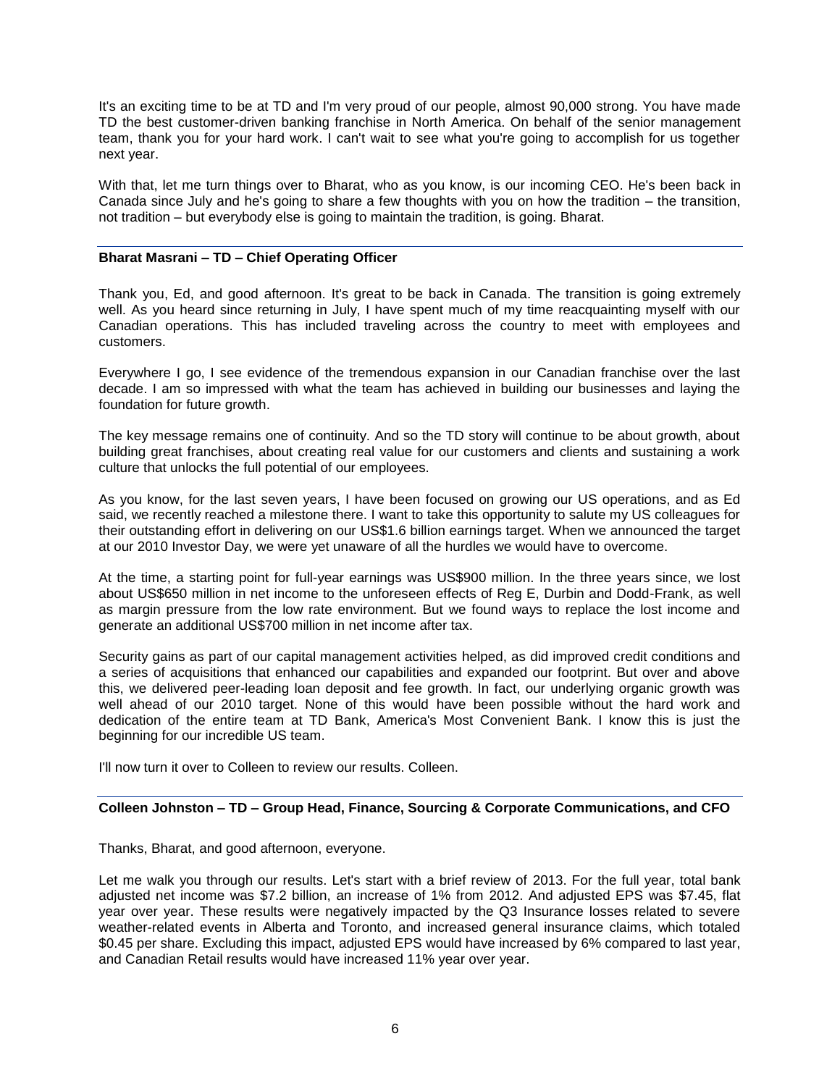It's an exciting time to be at TD and I'm very proud of our people, almost 90,000 strong. You have made TD the best customer-driven banking franchise in North America. On behalf of the senior management team, thank you for your hard work. I can't wait to see what you're going to accomplish for us together next year.

With that, let me turn things over to Bharat, who as you know, is our incoming CEO. He's been back in Canada since July and he's going to share a few thoughts with you on how the tradition – the transition, not tradition – but everybody else is going to maintain the tradition, is going. Bharat.

# **Bharat Masrani – TD – Chief Operating Officer**

Thank you, Ed, and good afternoon. It's great to be back in Canada. The transition is going extremely well. As you heard since returning in July, I have spent much of my time reacquainting myself with our Canadian operations. This has included traveling across the country to meet with employees and customers.

Everywhere I go, I see evidence of the tremendous expansion in our Canadian franchise over the last decade. I am so impressed with what the team has achieved in building our businesses and laying the foundation for future growth.

The key message remains one of continuity. And so the TD story will continue to be about growth, about building great franchises, about creating real value for our customers and clients and sustaining a work culture that unlocks the full potential of our employees.

As you know, for the last seven years, I have been focused on growing our US operations, and as Ed said, we recently reached a milestone there. I want to take this opportunity to salute my US colleagues for their outstanding effort in delivering on our US\$1.6 billion earnings target. When we announced the target at our 2010 Investor Day, we were yet unaware of all the hurdles we would have to overcome.

At the time, a starting point for full-year earnings was US\$900 million. In the three years since, we lost about US\$650 million in net income to the unforeseen effects of Reg E, Durbin and Dodd-Frank, as well as margin pressure from the low rate environment. But we found ways to replace the lost income and generate an additional US\$700 million in net income after tax.

Security gains as part of our capital management activities helped, as did improved credit conditions and a series of acquisitions that enhanced our capabilities and expanded our footprint. But over and above this, we delivered peer-leading loan deposit and fee growth. In fact, our underlying organic growth was well ahead of our 2010 target. None of this would have been possible without the hard work and dedication of the entire team at TD Bank, America's Most Convenient Bank. I know this is just the beginning for our incredible US team.

I'll now turn it over to Colleen to review our results. Colleen.

# **Colleen Johnston – TD – Group Head, Finance, Sourcing & Corporate Communications, and CFO**

Thanks, Bharat, and good afternoon, everyone.

Let me walk you through our results. Let's start with a brief review of 2013. For the full year, total bank adjusted net income was \$7.2 billion, an increase of 1% from 2012. And adjusted EPS was \$7.45, flat year over year. These results were negatively impacted by the Q3 Insurance losses related to severe weather-related events in Alberta and Toronto, and increased general insurance claims, which totaled \$0.45 per share. Excluding this impact, adjusted EPS would have increased by 6% compared to last year, and Canadian Retail results would have increased 11% year over year.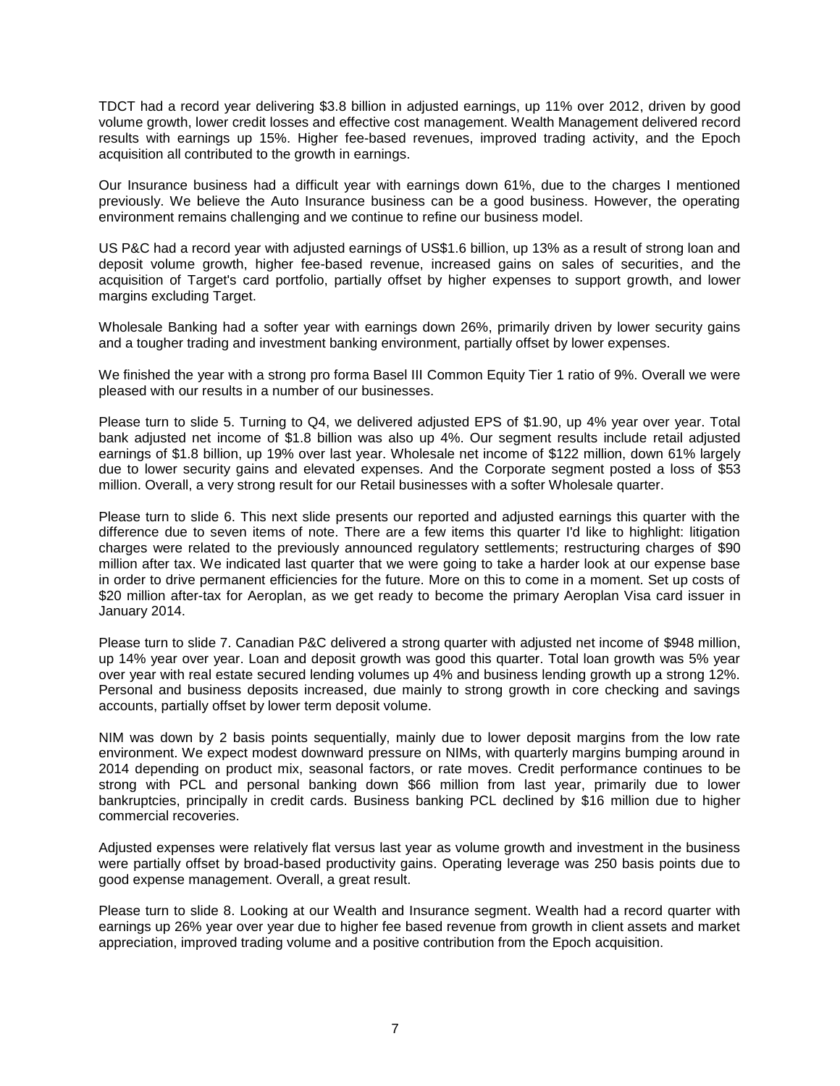TDCT had a record year delivering \$3.8 billion in adjusted earnings, up 11% over 2012, driven by good volume growth, lower credit losses and effective cost management. Wealth Management delivered record results with earnings up 15%. Higher fee-based revenues, improved trading activity, and the Epoch acquisition all contributed to the growth in earnings.

Our Insurance business had a difficult year with earnings down 61%, due to the charges I mentioned previously. We believe the Auto Insurance business can be a good business. However, the operating environment remains challenging and we continue to refine our business model.

US P&C had a record year with adjusted earnings of US\$1.6 billion, up 13% as a result of strong loan and deposit volume growth, higher fee-based revenue, increased gains on sales of securities, and the acquisition of Target's card portfolio, partially offset by higher expenses to support growth, and lower margins excluding Target.

Wholesale Banking had a softer year with earnings down 26%, primarily driven by lower security gains and a tougher trading and investment banking environment, partially offset by lower expenses.

We finished the year with a strong pro forma Basel III Common Equity Tier 1 ratio of 9%. Overall we were pleased with our results in a number of our businesses.

Please turn to slide 5. Turning to Q4, we delivered adjusted EPS of \$1.90, up 4% year over year. Total bank adjusted net income of \$1.8 billion was also up 4%. Our segment results include retail adjusted earnings of \$1.8 billion, up 19% over last year. Wholesale net income of \$122 million, down 61% largely due to lower security gains and elevated expenses. And the Corporate segment posted a loss of \$53 million. Overall, a very strong result for our Retail businesses with a softer Wholesale quarter.

Please turn to slide 6. This next slide presents our reported and adjusted earnings this quarter with the difference due to seven items of note. There are a few items this quarter I'd like to highlight: litigation charges were related to the previously announced regulatory settlements; restructuring charges of \$90 million after tax. We indicated last quarter that we were going to take a harder look at our expense base in order to drive permanent efficiencies for the future. More on this to come in a moment. Set up costs of \$20 million after-tax for Aeroplan, as we get ready to become the primary Aeroplan Visa card issuer in January 2014.

Please turn to slide 7. Canadian P&C delivered a strong quarter with adjusted net income of \$948 million, up 14% year over year. Loan and deposit growth was good this quarter. Total loan growth was 5% year over year with real estate secured lending volumes up 4% and business lending growth up a strong 12%. Personal and business deposits increased, due mainly to strong growth in core checking and savings accounts, partially offset by lower term deposit volume.

NIM was down by 2 basis points sequentially, mainly due to lower deposit margins from the low rate environment. We expect modest downward pressure on NIMs, with quarterly margins bumping around in 2014 depending on product mix, seasonal factors, or rate moves. Credit performance continues to be strong with PCL and personal banking down \$66 million from last year, primarily due to lower bankruptcies, principally in credit cards. Business banking PCL declined by \$16 million due to higher commercial recoveries.

Adjusted expenses were relatively flat versus last year as volume growth and investment in the business were partially offset by broad-based productivity gains. Operating leverage was 250 basis points due to good expense management. Overall, a great result.

Please turn to slide 8. Looking at our Wealth and Insurance segment. Wealth had a record quarter with earnings up 26% year over year due to higher fee based revenue from growth in client assets and market appreciation, improved trading volume and a positive contribution from the Epoch acquisition.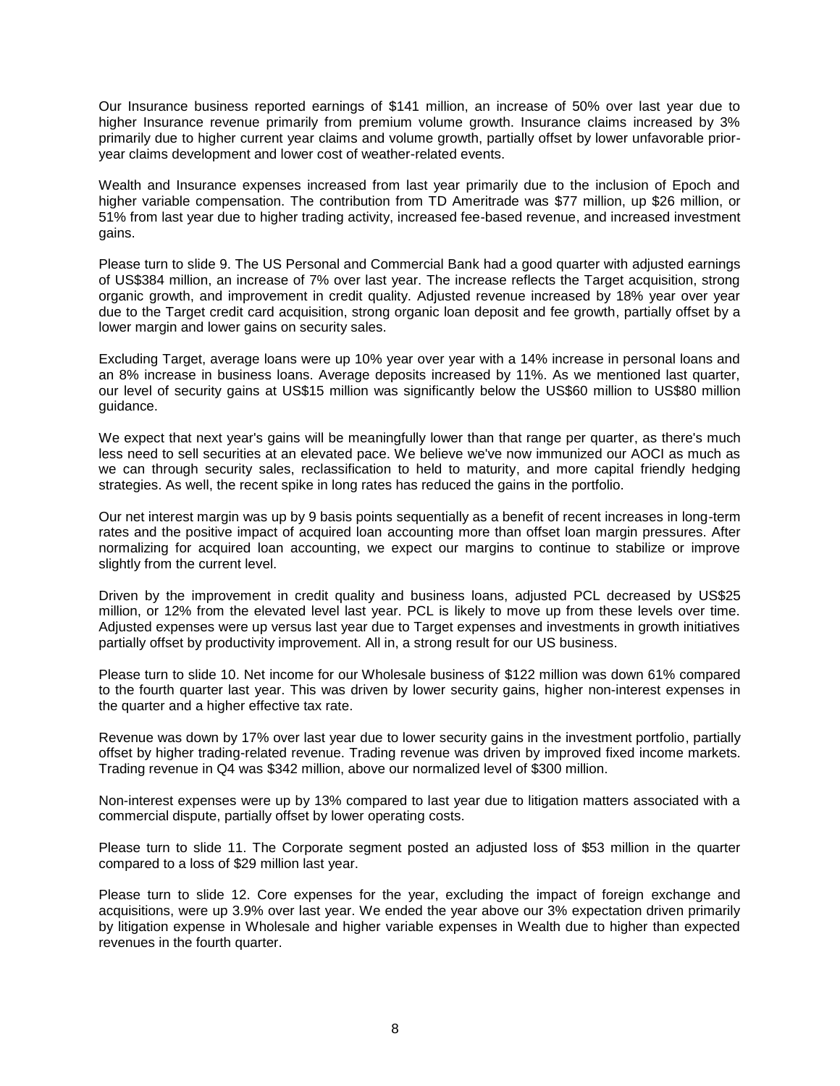Our Insurance business reported earnings of \$141 million, an increase of 50% over last year due to higher Insurance revenue primarily from premium volume growth. Insurance claims increased by 3% primarily due to higher current year claims and volume growth, partially offset by lower unfavorable prioryear claims development and lower cost of weather-related events.

Wealth and Insurance expenses increased from last year primarily due to the inclusion of Epoch and higher variable compensation. The contribution from TD Ameritrade was \$77 million, up \$26 million, or 51% from last year due to higher trading activity, increased fee-based revenue, and increased investment gains.

Please turn to slide 9. The US Personal and Commercial Bank had a good quarter with adjusted earnings of US\$384 million, an increase of 7% over last year. The increase reflects the Target acquisition, strong organic growth, and improvement in credit quality. Adjusted revenue increased by 18% year over year due to the Target credit card acquisition, strong organic loan deposit and fee growth, partially offset by a lower margin and lower gains on security sales.

Excluding Target, average loans were up 10% year over year with a 14% increase in personal loans and an 8% increase in business loans. Average deposits increased by 11%. As we mentioned last quarter, our level of security gains at US\$15 million was significantly below the US\$60 million to US\$80 million guidance.

We expect that next year's gains will be meaningfully lower than that range per quarter, as there's much less need to sell securities at an elevated pace. We believe we've now immunized our AOCI as much as we can through security sales, reclassification to held to maturity, and more capital friendly hedging strategies. As well, the recent spike in long rates has reduced the gains in the portfolio.

Our net interest margin was up by 9 basis points sequentially as a benefit of recent increases in long-term rates and the positive impact of acquired loan accounting more than offset loan margin pressures. After normalizing for acquired loan accounting, we expect our margins to continue to stabilize or improve slightly from the current level.

Driven by the improvement in credit quality and business loans, adjusted PCL decreased by US\$25 million, or 12% from the elevated level last year. PCL is likely to move up from these levels over time. Adjusted expenses were up versus last year due to Target expenses and investments in growth initiatives partially offset by productivity improvement. All in, a strong result for our US business.

Please turn to slide 10. Net income for our Wholesale business of \$122 million was down 61% compared to the fourth quarter last year. This was driven by lower security gains, higher non-interest expenses in the quarter and a higher effective tax rate.

Revenue was down by 17% over last year due to lower security gains in the investment portfolio, partially offset by higher trading-related revenue. Trading revenue was driven by improved fixed income markets. Trading revenue in Q4 was \$342 million, above our normalized level of \$300 million.

Non-interest expenses were up by 13% compared to last year due to litigation matters associated with a commercial dispute, partially offset by lower operating costs.

Please turn to slide 11. The Corporate segment posted an adjusted loss of \$53 million in the quarter compared to a loss of \$29 million last year.

Please turn to slide 12. Core expenses for the year, excluding the impact of foreign exchange and acquisitions, were up 3.9% over last year. We ended the year above our 3% expectation driven primarily by litigation expense in Wholesale and higher variable expenses in Wealth due to higher than expected revenues in the fourth quarter.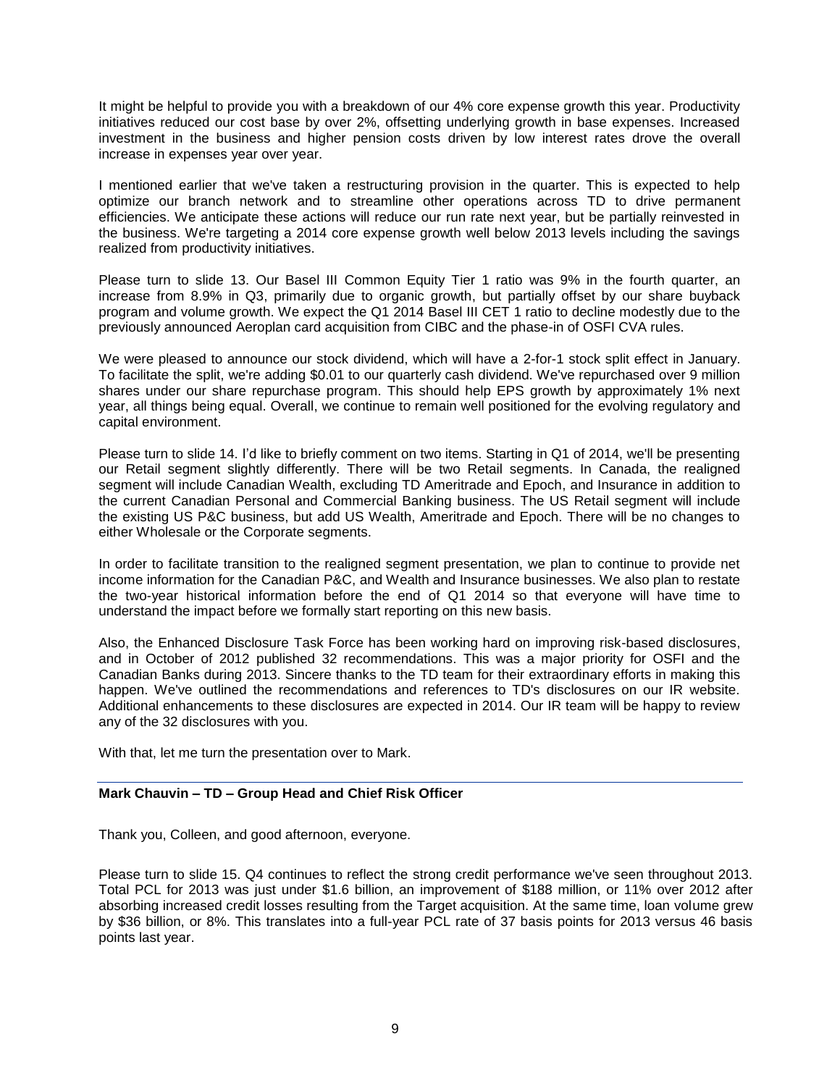It might be helpful to provide you with a breakdown of our 4% core expense growth this year. Productivity initiatives reduced our cost base by over 2%, offsetting underlying growth in base expenses. Increased investment in the business and higher pension costs driven by low interest rates drove the overall increase in expenses year over year.

I mentioned earlier that we've taken a restructuring provision in the quarter. This is expected to help optimize our branch network and to streamline other operations across TD to drive permanent efficiencies. We anticipate these actions will reduce our run rate next year, but be partially reinvested in the business. We're targeting a 2014 core expense growth well below 2013 levels including the savings realized from productivity initiatives.

Please turn to slide 13. Our Basel III Common Equity Tier 1 ratio was 9% in the fourth quarter, an increase from 8.9% in Q3, primarily due to organic growth, but partially offset by our share buyback program and volume growth. We expect the Q1 2014 Basel III CET 1 ratio to decline modestly due to the previously announced Aeroplan card acquisition from CIBC and the phase-in of OSFI CVA rules.

We were pleased to announce our stock dividend, which will have a 2-for-1 stock split effect in January. To facilitate the split, we're adding \$0.01 to our quarterly cash dividend. We've repurchased over 9 million shares under our share repurchase program. This should help EPS growth by approximately 1% next year, all things being equal. Overall, we continue to remain well positioned for the evolving regulatory and capital environment.

Please turn to slide 14. I'd like to briefly comment on two items. Starting in Q1 of 2014, we'll be presenting our Retail segment slightly differently. There will be two Retail segments. In Canada, the realigned segment will include Canadian Wealth, excluding TD Ameritrade and Epoch, and Insurance in addition to the current Canadian Personal and Commercial Banking business. The US Retail segment will include the existing US P&C business, but add US Wealth, Ameritrade and Epoch. There will be no changes to either Wholesale or the Corporate segments.

In order to facilitate transition to the realigned segment presentation, we plan to continue to provide net income information for the Canadian P&C, and Wealth and Insurance businesses. We also plan to restate the two-year historical information before the end of Q1 2014 so that everyone will have time to understand the impact before we formally start reporting on this new basis.

Also, the Enhanced Disclosure Task Force has been working hard on improving risk-based disclosures, and in October of 2012 published 32 recommendations. This was a major priority for OSFI and the Canadian Banks during 2013. Sincere thanks to the TD team for their extraordinary efforts in making this happen. We've outlined the recommendations and references to TD's disclosures on our IR website. Additional enhancements to these disclosures are expected in 2014. Our IR team will be happy to review any of the 32 disclosures with you.

With that, let me turn the presentation over to Mark.

# **Mark Chauvin – TD – Group Head and Chief Risk Officer**

Thank you, Colleen, and good afternoon, everyone.

Please turn to slide 15. Q4 continues to reflect the strong credit performance we've seen throughout 2013. Total PCL for 2013 was just under \$1.6 billion, an improvement of \$188 million, or 11% over 2012 after absorbing increased credit losses resulting from the Target acquisition. At the same time, loan volume grew by \$36 billion, or 8%. This translates into a full-year PCL rate of 37 basis points for 2013 versus 46 basis points last year.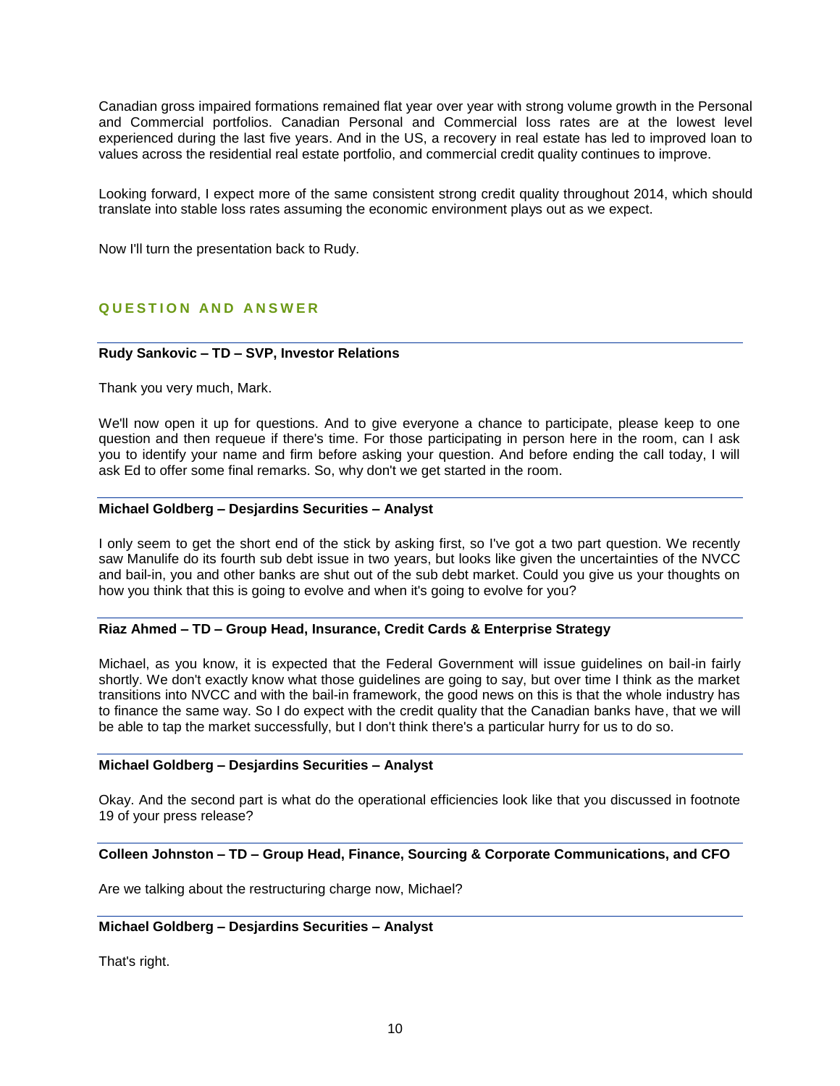Canadian gross impaired formations remained flat year over year with strong volume growth in the Personal and Commercial portfolios. Canadian Personal and Commercial loss rates are at the lowest level experienced during the last five years. And in the US, a recovery in real estate has led to improved loan to values across the residential real estate portfolio, and commercial credit quality continues to improve.

Looking forward, I expect more of the same consistent strong credit quality throughout 2014, which should translate into stable loss rates assuming the economic environment plays out as we expect.

Now I'll turn the presentation back to Rudy.

# **Q U E S T I O N A N D A N S W E R**

### **Rudy Sankovic – TD – SVP, Investor Relations**

Thank you very much, Mark.

We'll now open it up for questions. And to give everyone a chance to participate, please keep to one question and then requeue if there's time. For those participating in person here in the room, can I ask you to identify your name and firm before asking your question. And before ending the call today, I will ask Ed to offer some final remarks. So, why don't we get started in the room.

# **Michael Goldberg – Desjardins Securities – Analyst**

I only seem to get the short end of the stick by asking first, so I've got a two part question. We recently saw Manulife do its fourth sub debt issue in two years, but looks like given the uncertainties of the NVCC and bail-in, you and other banks are shut out of the sub debt market. Could you give us your thoughts on how you think that this is going to evolve and when it's going to evolve for you?

# **Riaz Ahmed – TD – Group Head, Insurance, Credit Cards & Enterprise Strategy**

Michael, as you know, it is expected that the Federal Government will issue guidelines on bail-in fairly shortly. We don't exactly know what those guidelines are going to say, but over time I think as the market transitions into NVCC and with the bail-in framework, the good news on this is that the whole industry has to finance the same way. So I do expect with the credit quality that the Canadian banks have, that we will be able to tap the market successfully, but I don't think there's a particular hurry for us to do so.

# **Michael Goldberg – Desjardins Securities – Analyst**

Okay. And the second part is what do the operational efficiencies look like that you discussed in footnote 19 of your press release?

# **Colleen Johnston – TD – Group Head, Finance, Sourcing & Corporate Communications, and CFO**

Are we talking about the restructuring charge now, Michael?

# **Michael Goldberg – Desjardins Securities – Analyst**

That's right.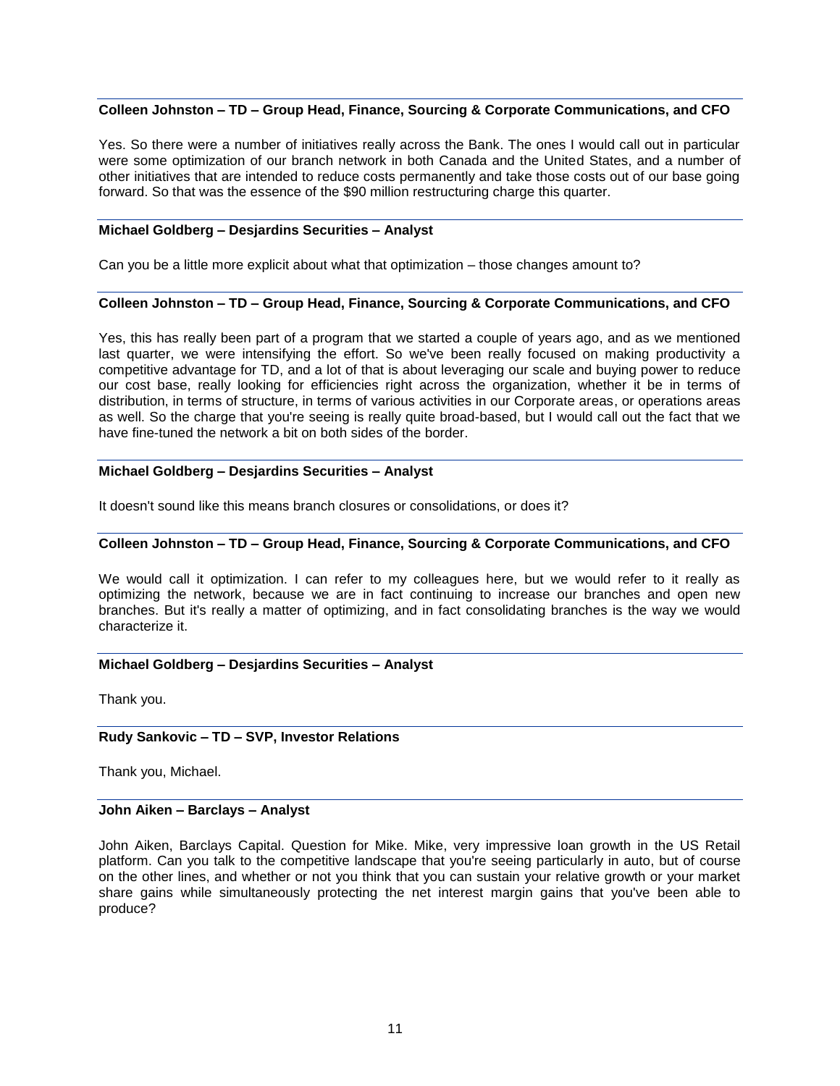# **Colleen Johnston – TD – Group Head, Finance, Sourcing & Corporate Communications, and CFO**

Yes. So there were a number of initiatives really across the Bank. The ones I would call out in particular were some optimization of our branch network in both Canada and the United States, and a number of other initiatives that are intended to reduce costs permanently and take those costs out of our base going forward. So that was the essence of the \$90 million restructuring charge this quarter.

# **Michael Goldberg – Desjardins Securities – Analyst**

Can you be a little more explicit about what that optimization – those changes amount to?

# **Colleen Johnston – TD – Group Head, Finance, Sourcing & Corporate Communications, and CFO**

Yes, this has really been part of a program that we started a couple of years ago, and as we mentioned last quarter, we were intensifying the effort. So we've been really focused on making productivity a competitive advantage for TD, and a lot of that is about leveraging our scale and buying power to reduce our cost base, really looking for efficiencies right across the organization, whether it be in terms of distribution, in terms of structure, in terms of various activities in our Corporate areas, or operations areas as well. So the charge that you're seeing is really quite broad-based, but I would call out the fact that we have fine-tuned the network a bit on both sides of the border.

# **Michael Goldberg – Desjardins Securities – Analyst**

It doesn't sound like this means branch closures or consolidations, or does it?

# **Colleen Johnston – TD – Group Head, Finance, Sourcing & Corporate Communications, and CFO**

We would call it optimization. I can refer to my colleagues here, but we would refer to it really as optimizing the network, because we are in fact continuing to increase our branches and open new branches. But it's really a matter of optimizing, and in fact consolidating branches is the way we would characterize it.

# **Michael Goldberg – Desjardins Securities – Analyst**

Thank you.

#### **Rudy Sankovic – TD – SVP, Investor Relations**

Thank you, Michael.

#### **John Aiken – Barclays – Analyst**

John Aiken, Barclays Capital. Question for Mike. Mike, very impressive loan growth in the US Retail platform. Can you talk to the competitive landscape that you're seeing particularly in auto, but of course on the other lines, and whether or not you think that you can sustain your relative growth or your market share gains while simultaneously protecting the net interest margin gains that you've been able to produce?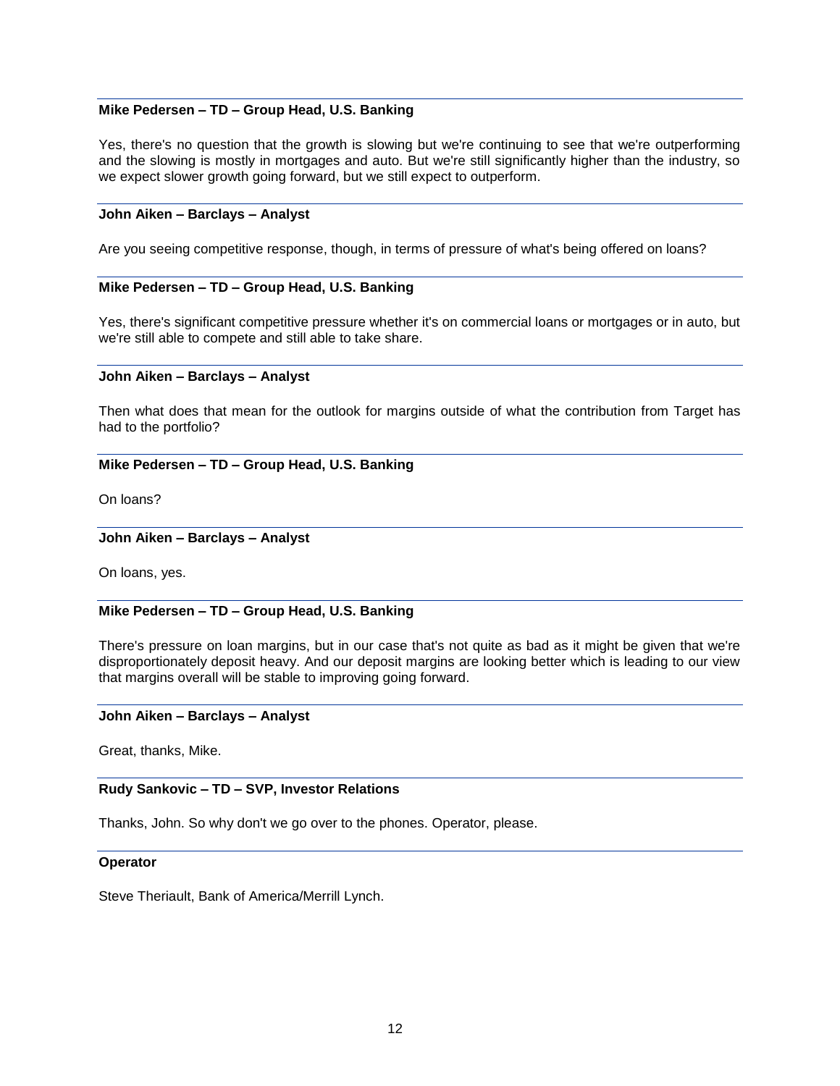# **Mike Pedersen – TD – Group Head, U.S. Banking**

Yes, there's no question that the growth is slowing but we're continuing to see that we're outperforming and the slowing is mostly in mortgages and auto. But we're still significantly higher than the industry, so we expect slower growth going forward, but we still expect to outperform.

### **John Aiken – Barclays – Analyst**

Are you seeing competitive response, though, in terms of pressure of what's being offered on loans?

# **Mike Pedersen – TD – Group Head, U.S. Banking**

Yes, there's significant competitive pressure whether it's on commercial loans or mortgages or in auto, but we're still able to compete and still able to take share.

### **John Aiken – Barclays – Analyst**

Then what does that mean for the outlook for margins outside of what the contribution from Target has had to the portfolio?

### **Mike Pedersen – TD – Group Head, U.S. Banking**

On loans?

#### **John Aiken – Barclays – Analyst**

On loans, yes.

# **Mike Pedersen – TD – Group Head, U.S. Banking**

There's pressure on loan margins, but in our case that's not quite as bad as it might be given that we're disproportionately deposit heavy. And our deposit margins are looking better which is leading to our view that margins overall will be stable to improving going forward.

### **John Aiken – Barclays – Analyst**

Great, thanks, Mike.

#### **Rudy Sankovic – TD – SVP, Investor Relations**

Thanks, John. So why don't we go over to the phones. Operator, please.

#### **Operator**

Steve Theriault, Bank of America/Merrill Lynch.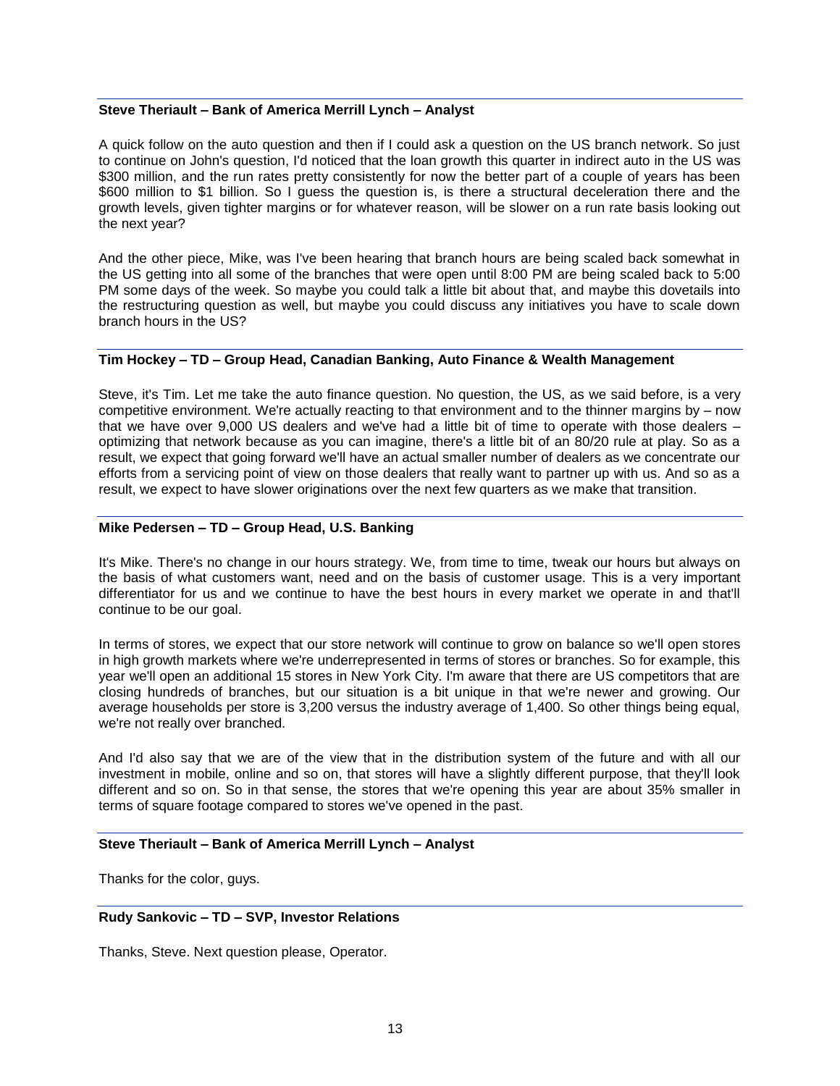# **Steve Theriault – Bank of America Merrill Lynch – Analyst**

A quick follow on the auto question and then if I could ask a question on the US branch network. So just to continue on John's question, I'd noticed that the loan growth this quarter in indirect auto in the US was \$300 million, and the run rates pretty consistently for now the better part of a couple of years has been \$600 million to \$1 billion. So I guess the question is, is there a structural deceleration there and the growth levels, given tighter margins or for whatever reason, will be slower on a run rate basis looking out the next year?

And the other piece, Mike, was I've been hearing that branch hours are being scaled back somewhat in the US getting into all some of the branches that were open until 8:00 PM are being scaled back to 5:00 PM some days of the week. So maybe you could talk a little bit about that, and maybe this dovetails into the restructuring question as well, but maybe you could discuss any initiatives you have to scale down branch hours in the US?

# **Tim Hockey – TD – Group Head, Canadian Banking, Auto Finance & Wealth Management**

Steve, it's Tim. Let me take the auto finance question. No question, the US, as we said before, is a very competitive environment. We're actually reacting to that environment and to the thinner margins by – now that we have over 9,000 US dealers and we've had a little bit of time to operate with those dealers – optimizing that network because as you can imagine, there's a little bit of an 80/20 rule at play. So as a result, we expect that going forward we'll have an actual smaller number of dealers as we concentrate our efforts from a servicing point of view on those dealers that really want to partner up with us. And so as a result, we expect to have slower originations over the next few quarters as we make that transition.

# **Mike Pedersen – TD – Group Head, U.S. Banking**

It's Mike. There's no change in our hours strategy. We, from time to time, tweak our hours but always on the basis of what customers want, need and on the basis of customer usage. This is a very important differentiator for us and we continue to have the best hours in every market we operate in and that'll continue to be our goal.

In terms of stores, we expect that our store network will continue to grow on balance so we'll open stores in high growth markets where we're underrepresented in terms of stores or branches. So for example, this year we'll open an additional 15 stores in New York City. I'm aware that there are US competitors that are closing hundreds of branches, but our situation is a bit unique in that we're newer and growing. Our average households per store is 3,200 versus the industry average of 1,400. So other things being equal, we're not really over branched.

And I'd also say that we are of the view that in the distribution system of the future and with all our investment in mobile, online and so on, that stores will have a slightly different purpose, that they'll look different and so on. So in that sense, the stores that we're opening this year are about 35% smaller in terms of square footage compared to stores we've opened in the past.

# **Steve Theriault – Bank of America Merrill Lynch – Analyst**

Thanks for the color, guys.

# **Rudy Sankovic – TD – SVP, Investor Relations**

Thanks, Steve. Next question please, Operator.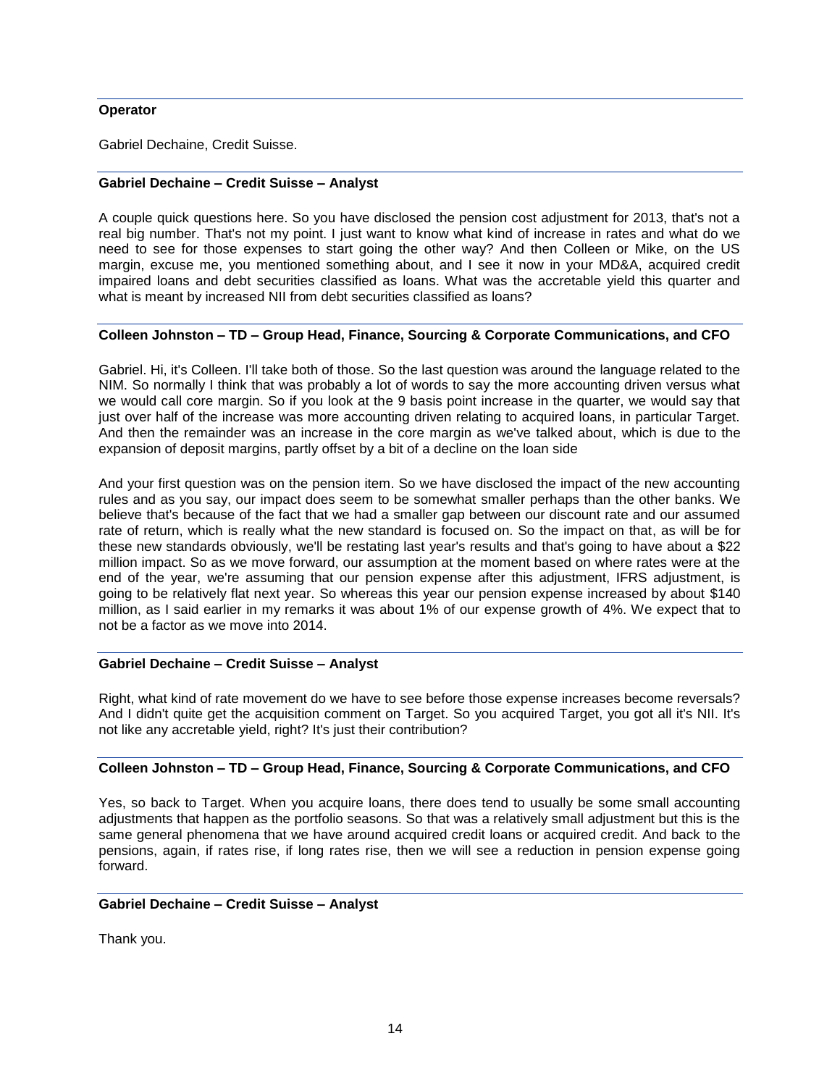# **Operator**

Gabriel Dechaine, Credit Suisse.

### **Gabriel Dechaine – Credit Suisse – Analyst**

A couple quick questions here. So you have disclosed the pension cost adjustment for 2013, that's not a real big number. That's not my point. I just want to know what kind of increase in rates and what do we need to see for those expenses to start going the other way? And then Colleen or Mike, on the US margin, excuse me, you mentioned something about, and I see it now in your MD&A, acquired credit impaired loans and debt securities classified as loans. What was the accretable yield this quarter and what is meant by increased NII from debt securities classified as loans?

### **Colleen Johnston – TD – Group Head, Finance, Sourcing & Corporate Communications, and CFO**

Gabriel. Hi, it's Colleen. I'll take both of those. So the last question was around the language related to the NIM. So normally I think that was probably a lot of words to say the more accounting driven versus what we would call core margin. So if you look at the 9 basis point increase in the quarter, we would say that just over half of the increase was more accounting driven relating to acquired loans, in particular Target. And then the remainder was an increase in the core margin as we've talked about, which is due to the expansion of deposit margins, partly offset by a bit of a decline on the loan side

And your first question was on the pension item. So we have disclosed the impact of the new accounting rules and as you say, our impact does seem to be somewhat smaller perhaps than the other banks. We believe that's because of the fact that we had a smaller gap between our discount rate and our assumed rate of return, which is really what the new standard is focused on. So the impact on that, as will be for these new standards obviously, we'll be restating last year's results and that's going to have about a \$22 million impact. So as we move forward, our assumption at the moment based on where rates were at the end of the year, we're assuming that our pension expense after this adjustment, IFRS adjustment, is going to be relatively flat next year. So whereas this year our pension expense increased by about \$140 million, as I said earlier in my remarks it was about 1% of our expense growth of 4%. We expect that to not be a factor as we move into 2014.

# **Gabriel Dechaine – Credit Suisse – Analyst**

Right, what kind of rate movement do we have to see before those expense increases become reversals? And I didn't quite get the acquisition comment on Target. So you acquired Target, you got all it's NII. It's not like any accretable yield, right? It's just their contribution?

# **Colleen Johnston – TD – Group Head, Finance, Sourcing & Corporate Communications, and CFO**

Yes, so back to Target. When you acquire loans, there does tend to usually be some small accounting adjustments that happen as the portfolio seasons. So that was a relatively small adjustment but this is the same general phenomena that we have around acquired credit loans or acquired credit. And back to the pensions, again, if rates rise, if long rates rise, then we will see a reduction in pension expense going forward.

# **Gabriel Dechaine – Credit Suisse – Analyst**

Thank you.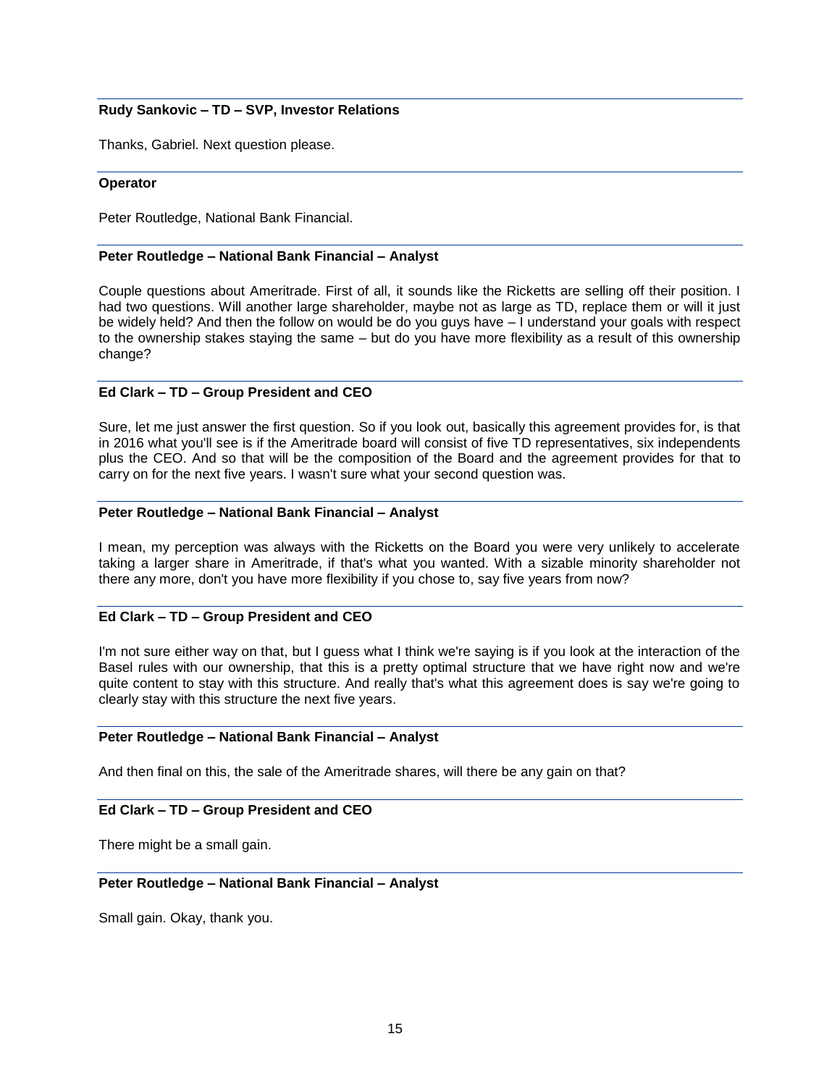# **Rudy Sankovic – TD – SVP, Investor Relations**

Thanks, Gabriel. Next question please.

### **Operator**

Peter Routledge, National Bank Financial.

# **Peter Routledge – National Bank Financial – Analyst**

Couple questions about Ameritrade. First of all, it sounds like the Ricketts are selling off their position. I had two questions. Will another large shareholder, maybe not as large as TD, replace them or will it just be widely held? And then the follow on would be do you guys have – I understand your goals with respect to the ownership stakes staying the same – but do you have more flexibility as a result of this ownership change?

# **Ed Clark – TD – Group President and CEO**

Sure, let me just answer the first question. So if you look out, basically this agreement provides for, is that in 2016 what you'll see is if the Ameritrade board will consist of five TD representatives, six independents plus the CEO. And so that will be the composition of the Board and the agreement provides for that to carry on for the next five years. I wasn't sure what your second question was.

### **Peter Routledge – National Bank Financial – Analyst**

I mean, my perception was always with the Ricketts on the Board you were very unlikely to accelerate taking a larger share in Ameritrade, if that's what you wanted. With a sizable minority shareholder not there any more, don't you have more flexibility if you chose to, say five years from now?

# **Ed Clark – TD – Group President and CEO**

I'm not sure either way on that, but I guess what I think we're saying is if you look at the interaction of the Basel rules with our ownership, that this is a pretty optimal structure that we have right now and we're quite content to stay with this structure. And really that's what this agreement does is say we're going to clearly stay with this structure the next five years.

#### **Peter Routledge – National Bank Financial – Analyst**

And then final on this, the sale of the Ameritrade shares, will there be any gain on that?

# **Ed Clark – TD – Group President and CEO**

There might be a small gain.

# **Peter Routledge – National Bank Financial – Analyst**

Small gain. Okay, thank you.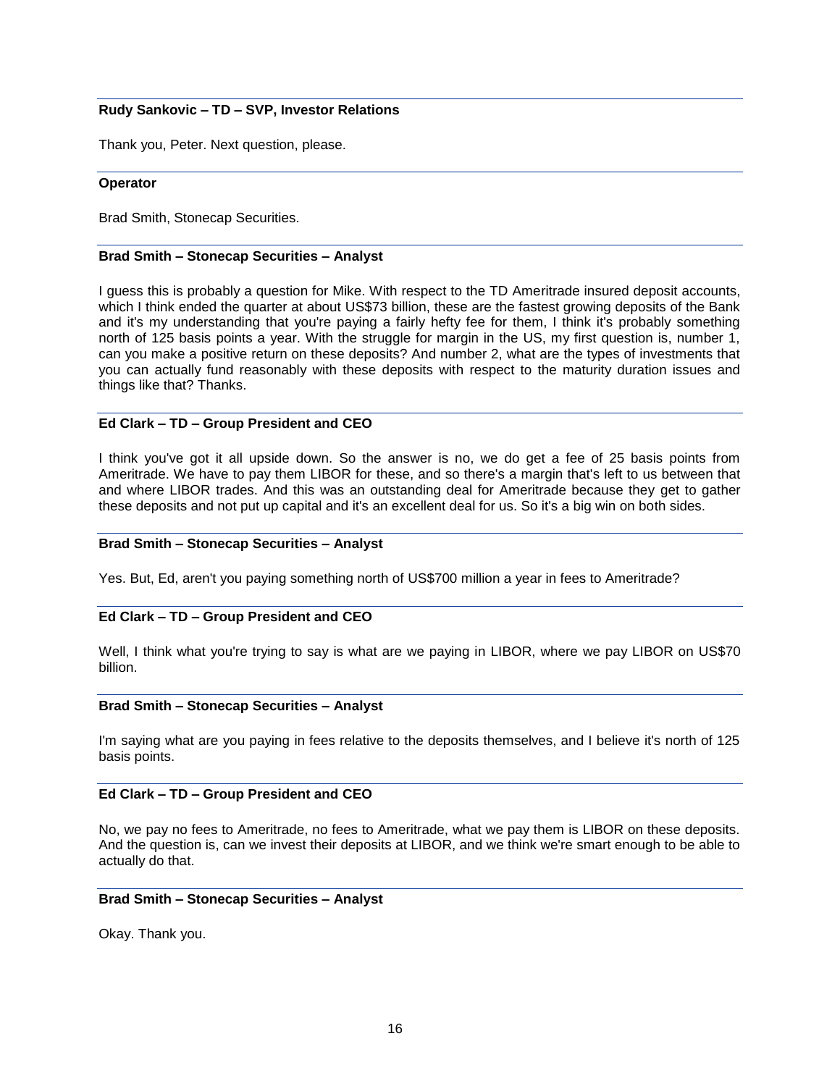# **Rudy Sankovic – TD – SVP, Investor Relations**

Thank you, Peter. Next question, please.

### **Operator**

Brad Smith, Stonecap Securities.

### **Brad Smith – Stonecap Securities – Analyst**

I guess this is probably a question for Mike. With respect to the TD Ameritrade insured deposit accounts, which I think ended the quarter at about US\$73 billion, these are the fastest growing deposits of the Bank and it's my understanding that you're paying a fairly hefty fee for them, I think it's probably something north of 125 basis points a year. With the struggle for margin in the US, my first question is, number 1, can you make a positive return on these deposits? And number 2, what are the types of investments that you can actually fund reasonably with these deposits with respect to the maturity duration issues and things like that? Thanks.

# **Ed Clark – TD – Group President and CEO**

I think you've got it all upside down. So the answer is no, we do get a fee of 25 basis points from Ameritrade. We have to pay them LIBOR for these, and so there's a margin that's left to us between that and where LIBOR trades. And this was an outstanding deal for Ameritrade because they get to gather these deposits and not put up capital and it's an excellent deal for us. So it's a big win on both sides.

### **Brad Smith – Stonecap Securities – Analyst**

Yes. But, Ed, aren't you paying something north of US\$700 million a year in fees to Ameritrade?

#### **Ed Clark – TD – Group President and CEO**

Well, I think what you're trying to say is what are we paying in LIBOR, where we pay LIBOR on US\$70 billion.

#### **Brad Smith – Stonecap Securities – Analyst**

I'm saying what are you paying in fees relative to the deposits themselves, and I believe it's north of 125 basis points.

#### **Ed Clark – TD – Group President and CEO**

No, we pay no fees to Ameritrade, no fees to Ameritrade, what we pay them is LIBOR on these deposits. And the question is, can we invest their deposits at LIBOR, and we think we're smart enough to be able to actually do that.

### **Brad Smith – Stonecap Securities – Analyst**

Okay. Thank you.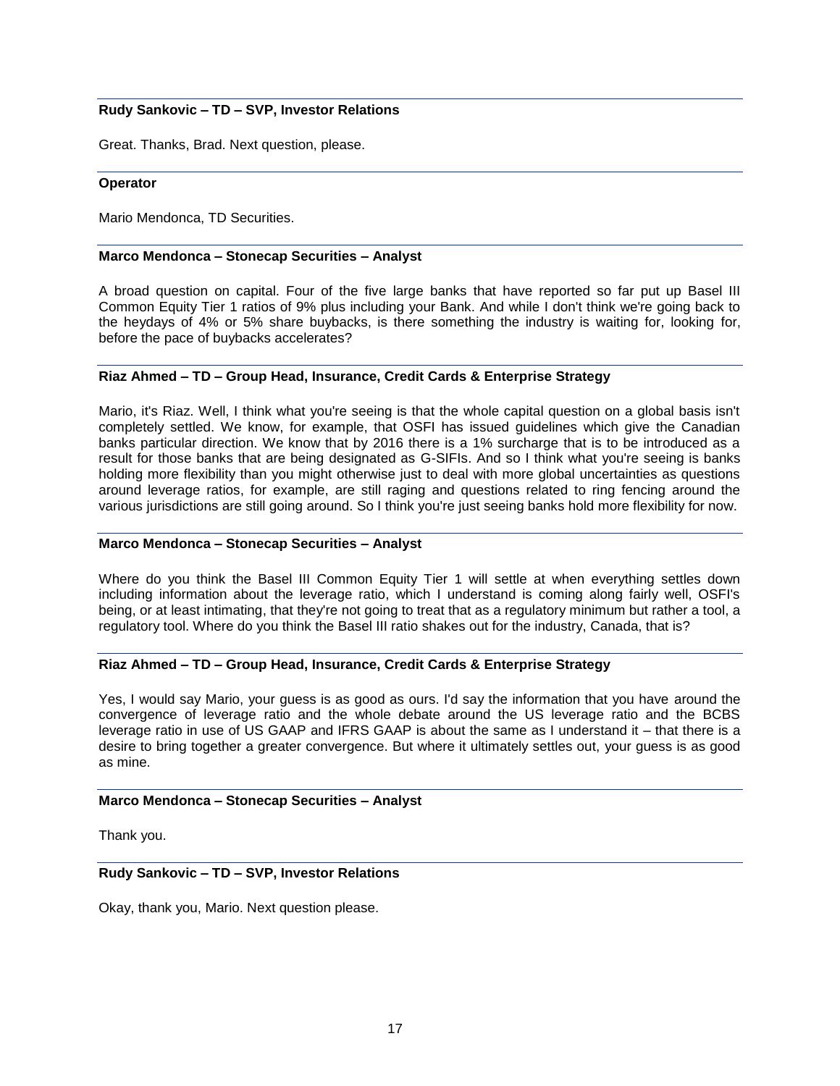# **Rudy Sankovic – TD – SVP, Investor Relations**

Great. Thanks, Brad. Next question, please.

### **Operator**

Mario Mendonca, TD Securities.

# **Marco Mendonca – Stonecap Securities – Analyst**

A broad question on capital. Four of the five large banks that have reported so far put up Basel III Common Equity Tier 1 ratios of 9% plus including your Bank. And while I don't think we're going back to the heydays of 4% or 5% share buybacks, is there something the industry is waiting for, looking for, before the pace of buybacks accelerates?

# **Riaz Ahmed – TD – Group Head, Insurance, Credit Cards & Enterprise Strategy**

Mario, it's Riaz. Well, I think what you're seeing is that the whole capital question on a global basis isn't completely settled. We know, for example, that OSFI has issued guidelines which give the Canadian banks particular direction. We know that by 2016 there is a 1% surcharge that is to be introduced as a result for those banks that are being designated as G-SIFIs. And so I think what you're seeing is banks holding more flexibility than you might otherwise just to deal with more global uncertainties as questions around leverage ratios, for example, are still raging and questions related to ring fencing around the various jurisdictions are still going around. So I think you're just seeing banks hold more flexibility for now.

### **Marco Mendonca – Stonecap Securities – Analyst**

Where do you think the Basel III Common Equity Tier 1 will settle at when everything settles down including information about the leverage ratio, which I understand is coming along fairly well, OSFI's being, or at least intimating, that they're not going to treat that as a regulatory minimum but rather a tool, a regulatory tool. Where do you think the Basel III ratio shakes out for the industry, Canada, that is?

# **Riaz Ahmed – TD – Group Head, Insurance, Credit Cards & Enterprise Strategy**

Yes, I would say Mario, your guess is as good as ours. I'd say the information that you have around the convergence of leverage ratio and the whole debate around the US leverage ratio and the BCBS leverage ratio in use of US GAAP and IFRS GAAP is about the same as I understand it – that there is a desire to bring together a greater convergence. But where it ultimately settles out, your guess is as good as mine.

# **Marco Mendonca – Stonecap Securities – Analyst**

Thank you.

# **Rudy Sankovic – TD – SVP, Investor Relations**

Okay, thank you, Mario. Next question please.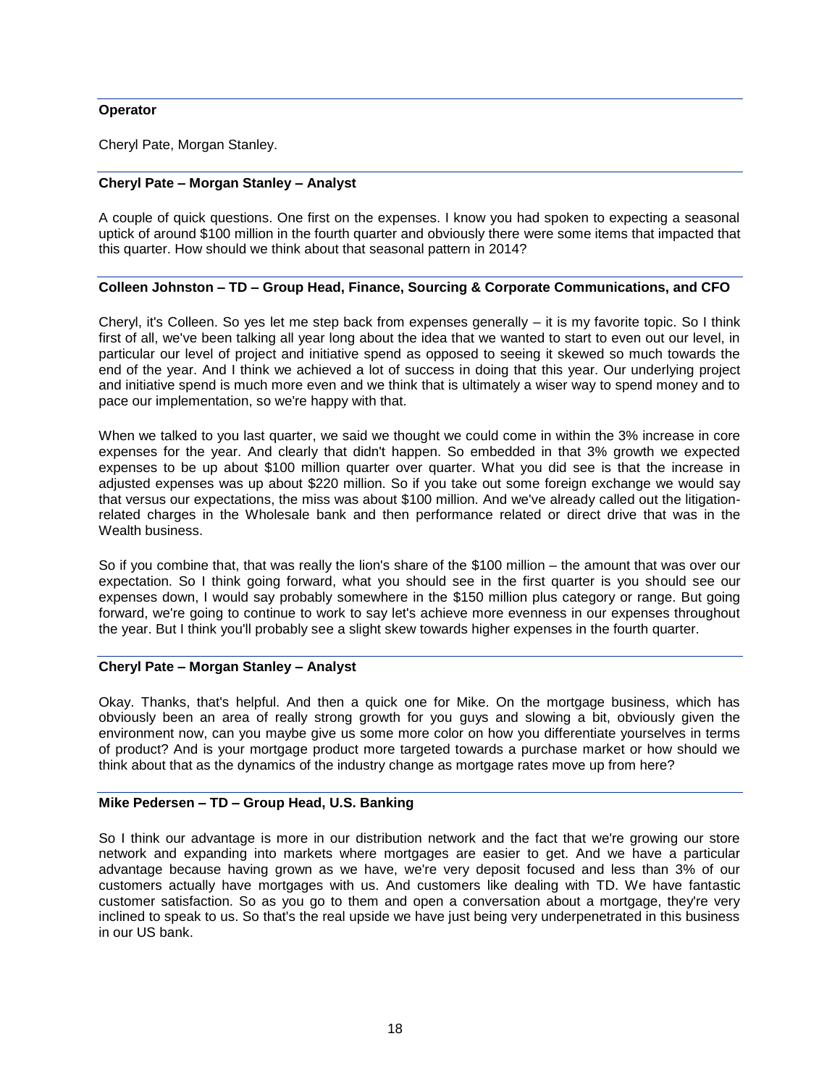# **Operator**

Cheryl Pate, Morgan Stanley.

### **Cheryl Pate – Morgan Stanley – Analyst**

A couple of quick questions. One first on the expenses. I know you had spoken to expecting a seasonal uptick of around \$100 million in the fourth quarter and obviously there were some items that impacted that this quarter. How should we think about that seasonal pattern in 2014?

# **Colleen Johnston – TD – Group Head, Finance, Sourcing & Corporate Communications, and CFO**

Cheryl, it's Colleen. So yes let me step back from expenses generally – it is my favorite topic. So I think first of all, we've been talking all year long about the idea that we wanted to start to even out our level, in particular our level of project and initiative spend as opposed to seeing it skewed so much towards the end of the year. And I think we achieved a lot of success in doing that this year. Our underlying project and initiative spend is much more even and we think that is ultimately a wiser way to spend money and to pace our implementation, so we're happy with that.

When we talked to you last quarter, we said we thought we could come in within the 3% increase in core expenses for the year. And clearly that didn't happen. So embedded in that 3% growth we expected expenses to be up about \$100 million quarter over quarter. What you did see is that the increase in adjusted expenses was up about \$220 million. So if you take out some foreign exchange we would say that versus our expectations, the miss was about \$100 million. And we've already called out the litigationrelated charges in the Wholesale bank and then performance related or direct drive that was in the Wealth business.

So if you combine that, that was really the lion's share of the \$100 million – the amount that was over our expectation. So I think going forward, what you should see in the first quarter is you should see our expenses down, I would say probably somewhere in the \$150 million plus category or range. But going forward, we're going to continue to work to say let's achieve more evenness in our expenses throughout the year. But I think you'll probably see a slight skew towards higher expenses in the fourth quarter.

# **Cheryl Pate – Morgan Stanley – Analyst**

Okay. Thanks, that's helpful. And then a quick one for Mike. On the mortgage business, which has obviously been an area of really strong growth for you guys and slowing a bit, obviously given the environment now, can you maybe give us some more color on how you differentiate yourselves in terms of product? And is your mortgage product more targeted towards a purchase market or how should we think about that as the dynamics of the industry change as mortgage rates move up from here?

# **Mike Pedersen – TD – Group Head, U.S. Banking**

So I think our advantage is more in our distribution network and the fact that we're growing our store network and expanding into markets where mortgages are easier to get. And we have a particular advantage because having grown as we have, we're very deposit focused and less than 3% of our customers actually have mortgages with us. And customers like dealing with TD. We have fantastic customer satisfaction. So as you go to them and open a conversation about a mortgage, they're very inclined to speak to us. So that's the real upside we have just being very underpenetrated in this business in our US bank.